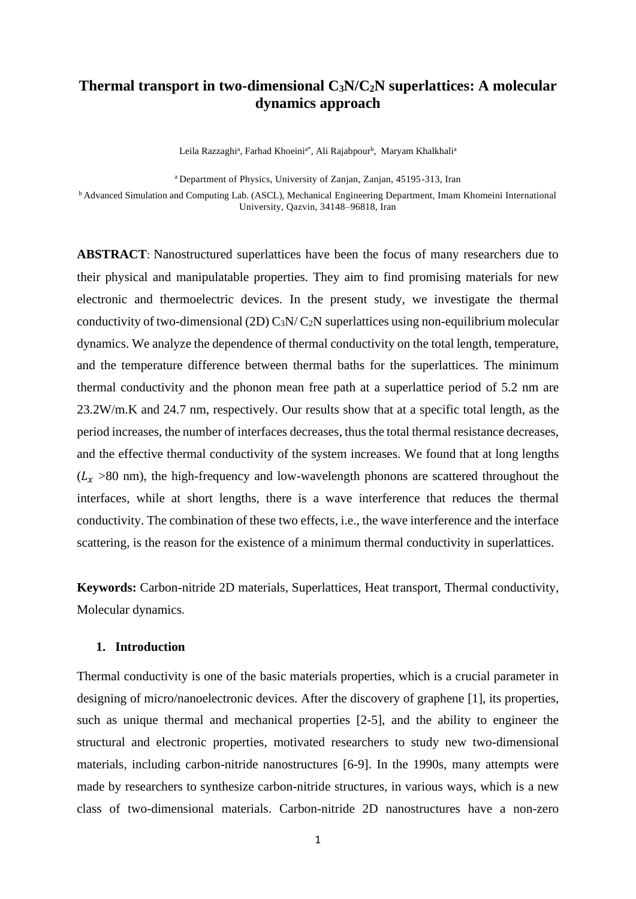# **Thermal transport in two-dimensional C3N/C2N superlattices: A molecular dynamics approach**

Leila Razzaghi<sup>a</sup>, Farhad Khoeini<sup>a\*</sup>, Ali Rajabpour<sup>b</sup>, Maryam Khalkhali<sup>a</sup>

<sup>a</sup> Department of Physics, University of Zanjan, Zanjan, 45195-313, Iran

<sup>b</sup> Advanced Simulation and Computing Lab. (ASCL), Mechanical Engineering Department, Imam Khomeini International University, Qazvin, 34148–96818, Iran

**ABSTRACT**: Nanostructured superlattices have been the focus of many researchers due to their physical and manipulatable properties. They aim to find promising materials for new electronic and thermoelectric devices. In the present study, we investigate the thermal conductivity of two-dimensional (2D)  $C_3N/C_2N$  superlattices using non-equilibrium molecular dynamics. We analyze the dependence of thermal conductivity on the total length, temperature, and the temperature difference between thermal baths for the superlattices. The minimum thermal conductivity and the phonon mean free path at a superlattice period of 5.2 nm are 23.2W/m.K and 24.7 nm, respectively. Our results show that at a specific total length, as the period increases, the number of interfaces decreases, thus the total thermal resistance decreases, and the effective thermal conductivity of the system increases. We found that at long lengths  $(L<sub>x</sub> >80$  nm), the high-frequency and low-wavelength phonons are scattered throughout the interfaces, while at short lengths, there is a wave interference that reduces the thermal conductivity. The combination of these two effects, i.e., the wave interference and the interface scattering, is the reason for the existence of a minimum thermal conductivity in superlattices.

**Keywords:** Carbon-nitride 2D materials, Superlattices, Heat transport, Thermal conductivity, Molecular dynamics.

### **1. Introduction**

Thermal conductivity is one of the basic materials properties, which is a crucial parameter in designing of micro/nanoelectronic devices. After the discovery of graphene [1], its properties, such as unique thermal and mechanical properties [2-5], and the ability to engineer the structural and electronic properties, motivated researchers to study new two-dimensional materials, including carbon-nitride nanostructures [6-9]. In the 1990s, many attempts were made by researchers to synthesize carbon-nitride structures, in various ways, which is a new class of two-dimensional materials. Carbon-nitride 2D nanostructures have a non-zero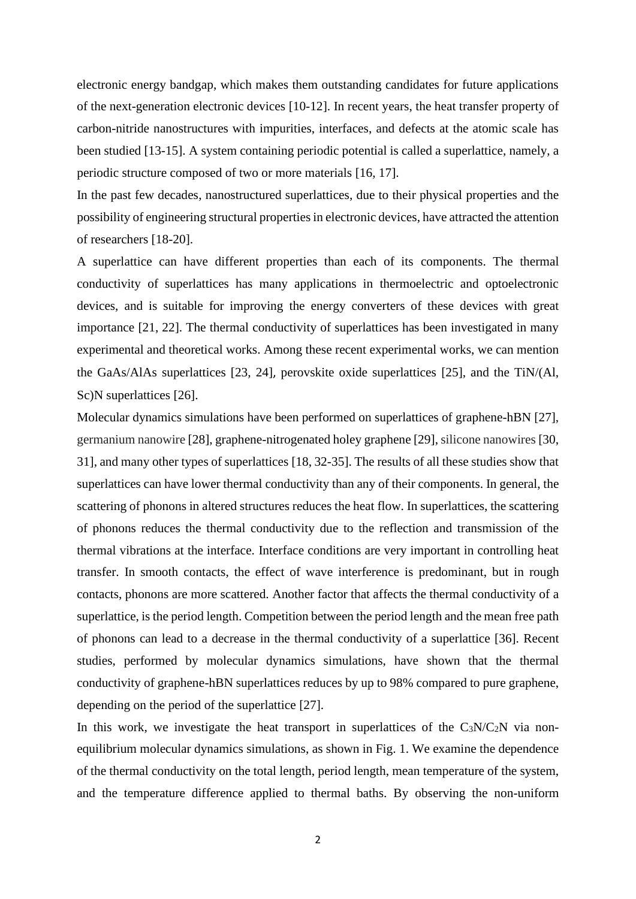electronic energy bandgap, which makes them outstanding candidates for future applications of the next-generation electronic devices [10-12]. In recent years, the heat transfer property of carbon-nitride nanostructures with impurities, interfaces, and defects at the atomic scale has been studied [13-15]. A system containing periodic potential is called a superlattice, namely, a periodic structure composed of two or more materials [16, 17].

In the past few decades, nanostructured superlattices, due to their physical properties and the possibility of engineering structural properties in electronic devices, have attracted the attention of researchers [18-20].

A superlattice can have different properties than each of its components. The thermal conductivity of superlattices has many applications in thermoelectric and optoelectronic devices, and is suitable for improving the energy converters of these devices with great importance [21, 22]. The thermal conductivity of superlattices has been investigated in many experimental and theoretical works. Among these recent experimental works, we can mention the GaAs/AlAs superlattices [23, 24], perovskite oxide superlattices [25], and the TiN/(Al, Sc)N superlattices [26].

Molecular dynamics simulations have been performed on superlattices of graphene-hBN [27], germanium nanowire [28], graphene-nitrogenated holey graphene [29], silicone nanowires [30, 31], and many other types of superlattices [18, 32-35]. The results of all these studies show that superlattices can have lower thermal conductivity than any of their components. In general, the scattering of phonons in altered structures reduces the heat flow. In superlattices, the scattering of phonons reduces the thermal conductivity due to the reflection and transmission of the thermal vibrations at the interface. Interface conditions are very important in controlling heat transfer. In smooth contacts, the effect of wave interference is predominant, but in rough contacts, phonons are more scattered. Another factor that affects the thermal conductivity of a superlattice, is the period length. Competition between the period length and the mean free path of phonons can lead to a decrease in the thermal conductivity of a superlattice [36]. Recent studies, performed by molecular dynamics simulations, have shown that the thermal conductivity of graphene-hBN superlattices reduces by up to 98% compared to pure graphene, depending on the period of the superlattice [27].

In this work, we investigate the heat transport in superlattices of the  $C_3N/C_2N$  via nonequilibrium molecular dynamics simulations, as shown in Fig. 1. We examine the dependence of the thermal conductivity on the total length, period length, mean temperature of the system, and the temperature difference applied to thermal baths. By observing the non-uniform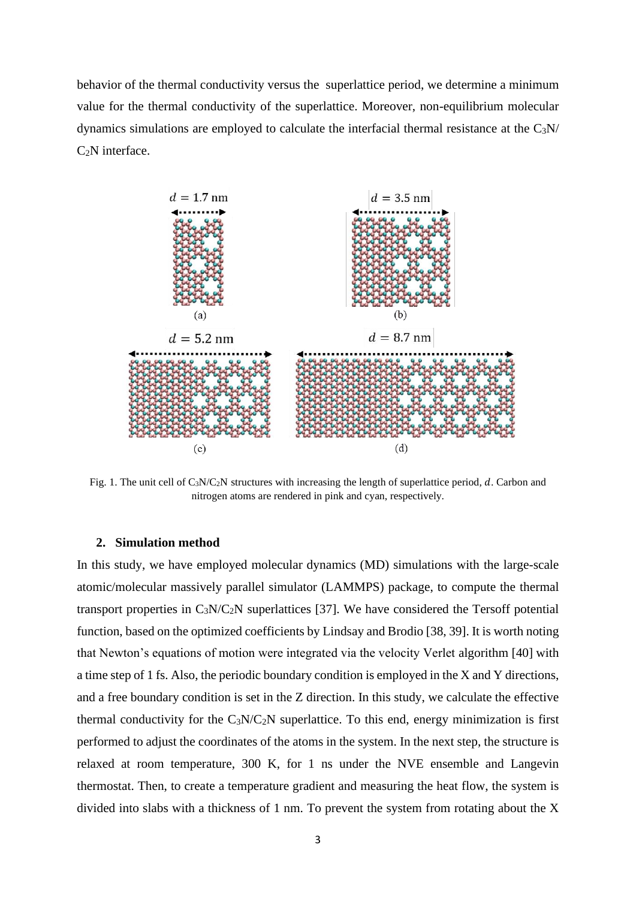behavior of the thermal conductivity versus the superlattice period, we determine a minimum value for the thermal conductivity of the superlattice. Moreover, non-equilibrium molecular dynamics simulations are employed to calculate the interfacial thermal resistance at the C3N/  $C<sub>2</sub>N$  interface.



Fig. 1. The unit cell of  $C_3N/C_2N$  structures with increasing the length of superlattice period, d. Carbon and nitrogen atoms are rendered in pink and cyan, respectively.

#### **2. Simulation method**

In this study, we have employed molecular dynamics (MD) simulations with the large-scale atomic/molecular massively parallel simulator (LAMMPS) package, to compute the thermal transport properties in  $C_3N/C_2N$  superlattices [37]. We have considered the Tersoff potential function, based on the optimized coefficients by Lindsay and Brodio [38, 39]. It is worth noting that Newton's equations of motion were integrated via the velocity Verlet algorithm [40] with a time step of 1 fs. Also, the periodic boundary condition is employed in the X and Y directions, and a free boundary condition is set in the Z direction. In this study, we calculate the effective thermal conductivity for the  $C_3N/C_2N$  superlattice. To this end, energy minimization is first performed to adjust the coordinates of the atoms in the system. In the next step, the structure is relaxed at room temperature, 300 K, for 1 ns under the NVE ensemble and Langevin thermostat. Then, to create a temperature gradient and measuring the heat flow, the system is divided into slabs with a thickness of 1 nm. To prevent the system from rotating about the X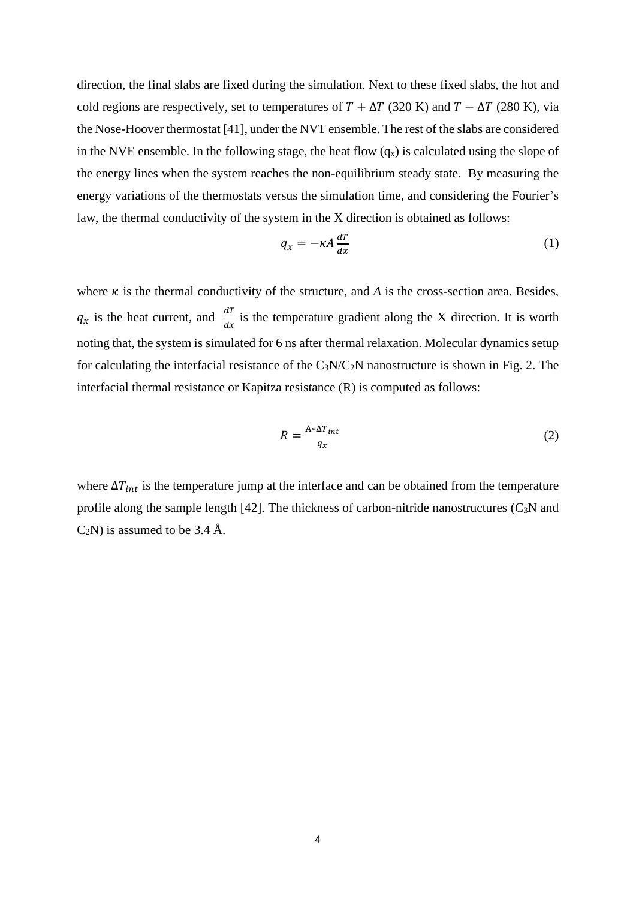direction, the final slabs are fixed during the simulation. Next to these fixed slabs, the hot and cold regions are respectively, set to temperatures of  $T + \Delta T$  (320 K) and  $T - \Delta T$  (280 K), via the Nose-Hoover thermostat [41], under the NVT ensemble. The rest of the slabs are considered in the NVE ensemble. In the following stage, the heat flow  $(q_x)$  is calculated using the slope of the energy lines when the system reaches the non-equilibrium steady state. By measuring the energy variations of the thermostats versus the simulation time, and considering the Fourier's law, the thermal conductivity of the system in the X direction is obtained as follows:

$$
q_x = -\kappa A \frac{dT}{dx} \tag{1}
$$

where  $\kappa$  is the thermal conductivity of the structure, and  $\kappa$  is the cross-section area. Besides,  $q_x$  is the heat current, and  $\frac{dT}{dx}$  is the temperature gradient along the X direction. It is worth noting that, the system is simulated for 6 ns after thermal relaxation. Molecular dynamics setup for calculating the interfacial resistance of the  $C_3N/C_2N$  nanostructure is shown in Fig. 2. The interfacial thermal resistance or Kapitza resistance (R) is computed as follows:

$$
R = \frac{A * \Delta T_{int}}{q_X} \tag{2}
$$

where  $\Delta T_{int}$  is the temperature jump at the interface and can be obtained from the temperature profile along the sample length  $[42]$ . The thickness of carbon-nitride nanostructures  $(C_3N)$  and  $C_2N$ ) is assumed to be 3.4 Å.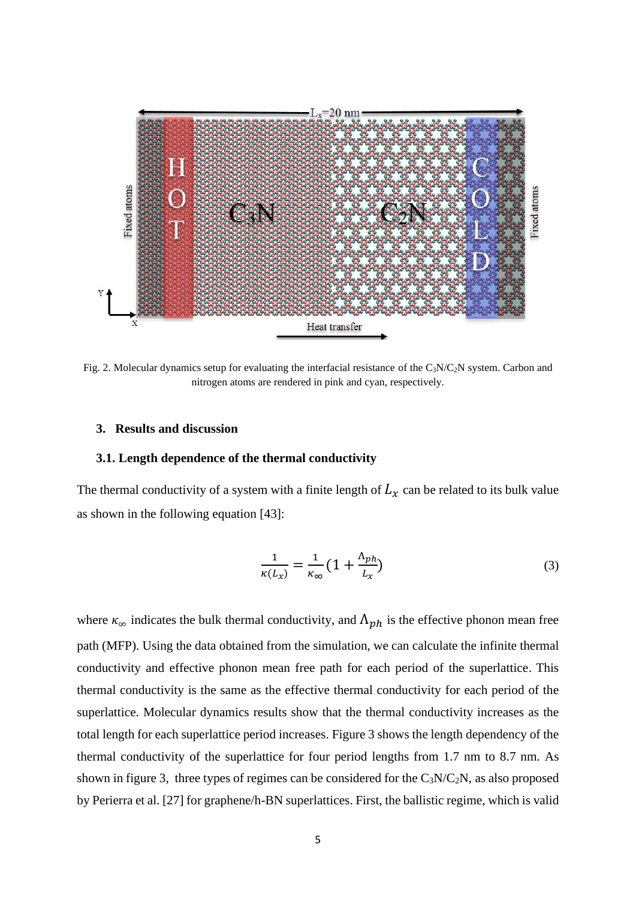

Fig. 2. Molecular dynamics setup for evaluating the interfacial resistance of the  $C_3N/C_2N$  system. Carbon and nitrogen atoms are rendered in pink and cyan, respectively.

### **3. Results and discussion**

#### **3.1. Length dependence of the thermal conductivity**

The thermal conductivity of a system with a finite length of  $L_x$  can be related to its bulk value as shown in the following equation [43]:

$$
\frac{1}{\kappa(L_x)} = \frac{1}{\kappa_\infty} \left( 1 + \frac{\Lambda_{ph}}{L_x} \right) \tag{3}
$$

where  $\kappa_{\infty}$  indicates the bulk thermal conductivity, and  $\Lambda_{ph}$  is the effective phonon mean free path (MFP). Using the data obtained from the simulation, we can calculate the infinite thermal conductivity and effective phonon mean free path for each period of the superlattice. This thermal conductivity is the same as the effective thermal conductivity for each period of the superlattice. Molecular dynamics results show that the thermal conductivity increases as the total length for each superlattice period increases. Figure 3 shows the length dependency of the thermal conductivity of the superlattice for four period lengths from 1.7 nm to 8.7 nm. As shown in figure 3, three types of regimes can be considered for the  $C_3N/C_2N$ , as also proposed by Perierra et al. [27] for graphene/h-BN superlattices. First, the ballistic regime, which is valid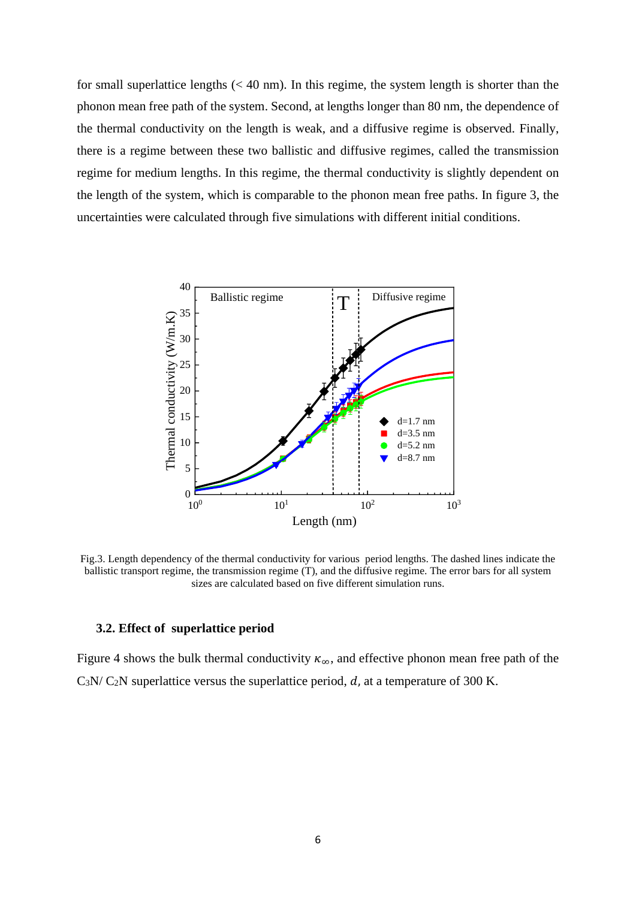for small superlattice lengths  $( $40 \text{ nm}$ ). In this regime, the system length is shorter than the$ phonon mean free path of the system. Second, at lengths longer than 80 nm, the dependence of the thermal conductivity on the length is weak, and a diffusive regime is observed. Finally, there is a regime between these two ballistic and diffusive regimes, called the transmission regime for medium lengths. In this regime, the thermal conductivity is slightly dependent on the length of the system, which is comparable to the phonon mean free paths. In figure 3, the uncertainties were calculated through five simulations with different initial conditions.



Fig.3. Length dependency of the thermal conductivity for various period lengths. The dashed lines indicate the ballistic transport regime, the transmission regime (T), and the diffusive regime. The error bars for all system sizes are calculated based on five different simulation runs.

#### **3.2. Effect of superlattice period**

Figure 4 shows the bulk thermal conductivity  $\kappa_{\infty}$ , and effective phonon mean free path of the  $C_3N/C_2N$  superlattice versus the superlattice period,  $d$ , at a temperature of 300 K.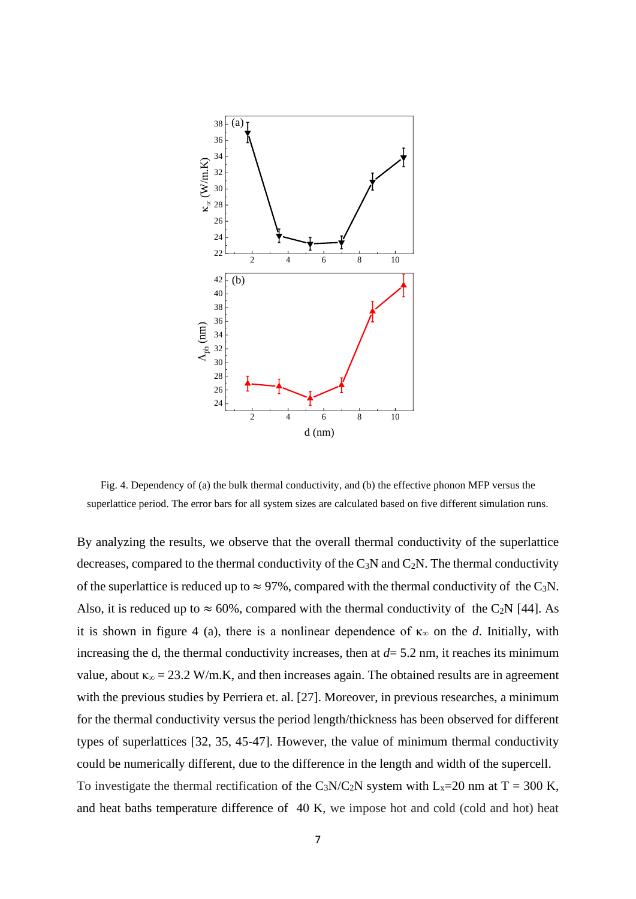

Fig. 4. Dependency of (a) the bulk thermal conductivity, and (b) the effective phonon MFP versus the superlattice period. The error bars for all system sizes are calculated based on five different simulation runs.

By analyzing the results, we observe that the overall thermal conductivity of the superlattice decreases, compared to the thermal conductivity of the  $C_3N$  and  $C_2N$ . The thermal conductivity of the superlattice is reduced up to  $\approx$  97%, compared with the thermal conductivity of the C<sub>3</sub>N. Also, it is reduced up to  $\approx 60\%$ , compared with the thermal conductivity of the C<sub>2</sub>N [44]. As it is shown in figure 4 (a), there is a nonlinear dependence of  $\kappa_{\infty}$  on the *d*. Initially, with increasing the d, the thermal conductivity increases, then at  $d = 5.2$  nm, it reaches its minimum value, about  $\kappa_{\infty} = 23.2 \text{ W/m.K}$ , and then increases again. The obtained results are in agreement with the previous studies by Perriera et. al. [27]. Moreover, in previous researches, a minimum for the thermal conductivity versus the period length/thickness has been observed for different types of superlattices [32, 35, 45-47]. However, the value of minimum thermal conductivity could be numerically different, due to the difference in the length and width of the supercell. To investigate the thermal rectification of the C<sub>3</sub>N/C<sub>2</sub>N system with L<sub>x</sub>=20 nm at T = 300 K, and heat baths temperature difference of 40 K, we impose hot and cold (cold and hot) heat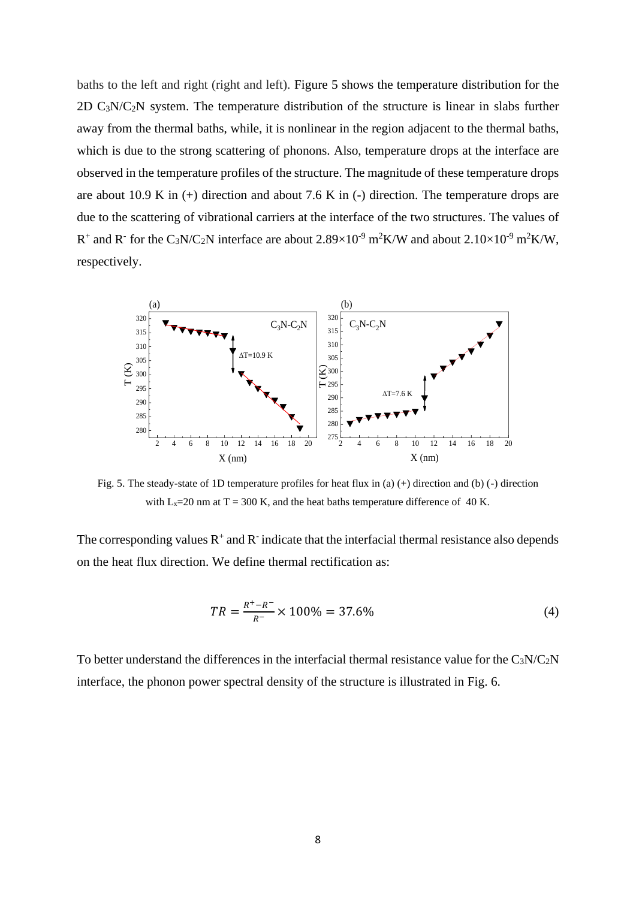baths to the left and right (right and left). Figure 5 shows the temperature distribution for the 2D  $C_3N/C_2N$  system. The temperature distribution of the structure is linear in slabs further away from the thermal baths, while, it is nonlinear in the region adjacent to the thermal baths, which is due to the strong scattering of phonons. Also, temperature drops at the interface are observed in the temperature profiles of the structure. The magnitude of these temperature drops are about 10.9 K in  $(+)$  direction and about 7.6 K in  $(-)$  direction. The temperature drops are due to the scattering of vibrational carriers at the interface of the two structures. The values of R<sup>+</sup> and R<sup>-</sup> for the C<sub>3</sub>N/C<sub>2</sub>N interface are about 2.89×10<sup>-9</sup> m<sup>2</sup>K/W and about 2.10×10<sup>-9</sup> m<sup>2</sup>K/W, respectively.



Fig. 5. The steady-state of 1D temperature profiles for heat flux in (a)  $(+)$  direction and (b)  $(-)$  direction with  $L_x=20$  nm at T = 300 K, and the heat baths temperature difference of 40 K.

The corresponding values  $R^+$  and  $R^-$  indicate that the interfacial thermal resistance also depends on the heat flux direction. We define thermal rectification as:

$$
TR = \frac{R^+ - R^-}{R^-} \times 100\% = 37.6\% \tag{4}
$$

To better understand the differences in the interfacial thermal resistance value for the  $C_3N/C_2N$ interface, the phonon power spectral density of the structure is illustrated in Fig. 6.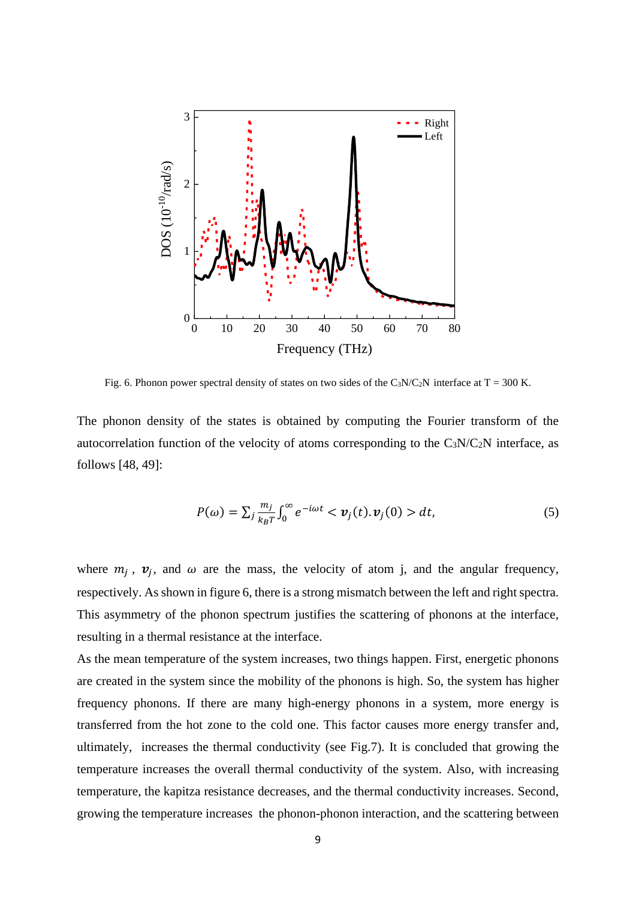

Fig. 6. Phonon power spectral density of states on two sides of the C<sub>3</sub>N/C<sub>2</sub>N interface at T = 300 K.

The phonon density of the states is obtained by computing the Fourier transform of the autocorrelation function of the velocity of atoms corresponding to the  $C_3N/C_2N$  interface, as follows [48, 49]:

$$
P(\omega) = \sum_{j} \frac{m_j}{k_B T} \int_0^{\infty} e^{-i\omega t} < \mathbf{v}_j(t). \mathbf{v}_j(0) > dt,\tag{5}
$$

where  $m_j$ ,  $v_j$ , and  $\omega$  are the mass, the velocity of atom j, and the angular frequency, respectively. As shown in figure 6, there is a strong mismatch between the left and right spectra. This asymmetry of the phonon spectrum justifies the scattering of phonons at the interface, resulting in a thermal resistance at the interface.

As the mean temperature of the system increases, two things happen. First, energetic phonons are created in the system since the mobility of the phonons is high. So, the system has higher frequency phonons. If there are many high-energy phonons in a system, more energy is transferred from the hot zone to the cold one. This factor causes more energy transfer and, ultimately, increases the thermal conductivity (see Fig.7). It is concluded that growing the temperature increases the overall thermal conductivity of the system. Also, with increasing temperature, the kapitza resistance decreases, and the thermal conductivity increases. Second, growing the temperature increases the phonon-phonon interaction, and the scattering between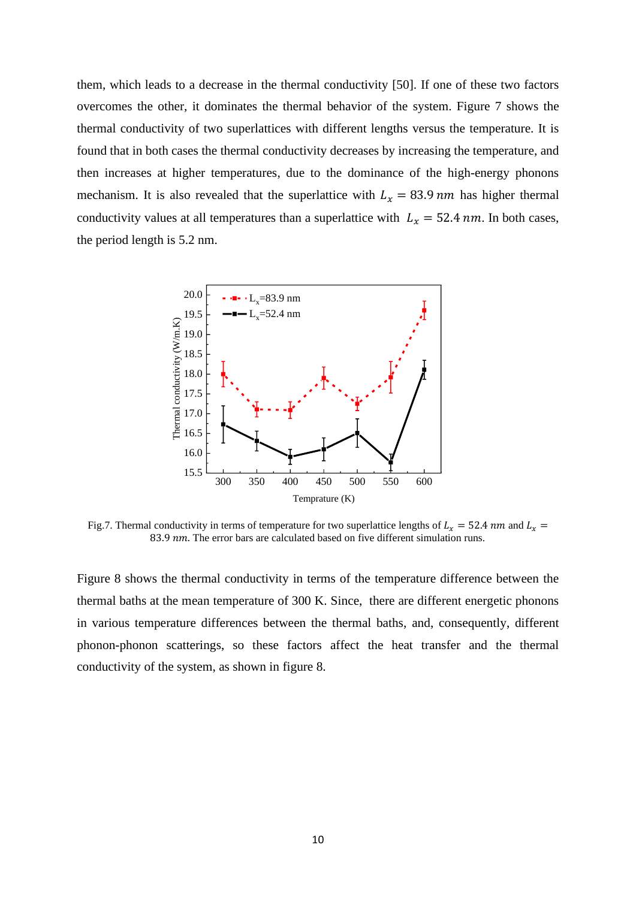them, which leads to a decrease in the thermal conductivity [50]. If one of these two factors overcomes the other, it dominates the thermal behavior of the system. Figure 7 shows the thermal conductivity of two superlattices with different lengths versus the temperature. It is found that in both cases the thermal conductivity decreases by increasing the temperature, and then increases at higher temperatures, due to the dominance of the high-energy phonons mechanism. It is also revealed that the superlattice with  $L<sub>x</sub> = 83.9$  nm has higher thermal conductivity values at all temperatures than a superlattice with  $L_x = 52.4$  nm. In both cases, the period length is 5.2 nm.



Fig.7. Thermal conductivity in terms of temperature for two superlattice lengths of  $L_x = 52.4$  nm and  $L_x =$ 83.9 nm. The error bars are calculated based on five different simulation runs.

Figure 8 shows the thermal conductivity in terms of the temperature difference between the thermal baths at the mean temperature of 300 K. Since, there are different energetic phonons in various temperature differences between the thermal baths, and, consequently, different phonon-phonon scatterings, so these factors affect the heat transfer and the thermal conductivity of the system, as shown in figure 8.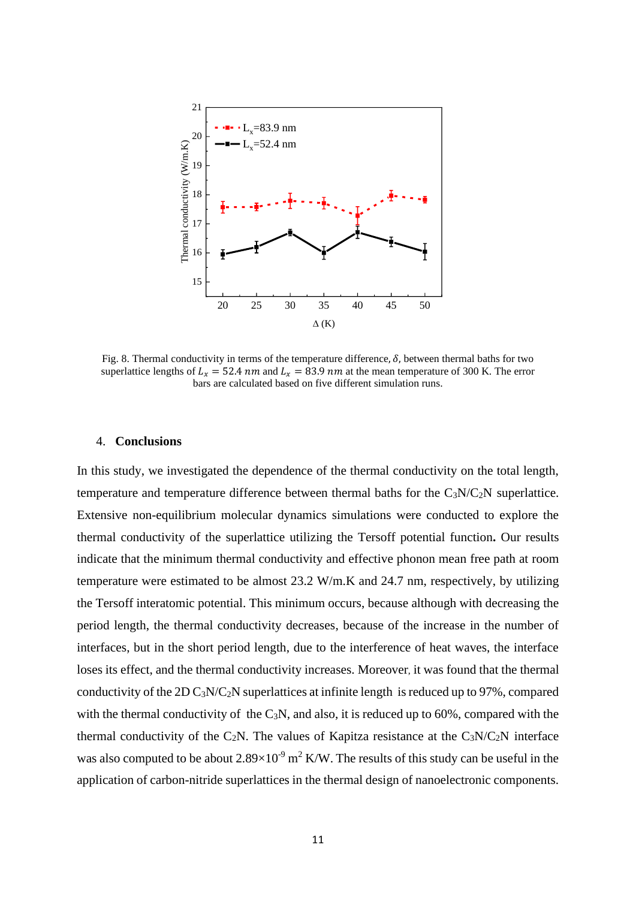

Fig. 8. Thermal conductivity in terms of the temperature difference,  $\delta$ , between thermal baths for two superlattice lengths of  $L<sub>x</sub> = 52.4$  nm and  $L<sub>x</sub> = 83.9$  nm at the mean temperature of 300 K. The error bars are calculated based on five different simulation runs.

#### 4. **Conclusions**

In this study, we investigated the dependence of the thermal conductivity on the total length, temperature and temperature difference between thermal baths for the  $C_3N/C_2N$  superlattice. Extensive non-equilibrium molecular dynamics simulations were conducted to explore the thermal conductivity of the superlattice utilizing the Tersoff potential function**.** Our results indicate that the minimum thermal conductivity and effective phonon mean free path at room temperature were estimated to be almost 23.2 W/m.K and 24.7 nm, respectively, by utilizing the Tersoff interatomic potential. This minimum occurs, because although with decreasing the period length, the thermal conductivity decreases, because of the increase in the number of interfaces, but in the short period length, due to the interference of heat waves, the interface loses its effect, and the thermal conductivity increases. Moreover, it was found that the thermal conductivity of the 2D C3N/C2N superlattices at infinite length is reduced up to 97%, compared with the thermal conductivity of the  $C_3N$ , and also, it is reduced up to 60%, compared with the thermal conductivity of the C<sub>2</sub>N. The values of Kapitza resistance at the C<sub>3</sub>N/C<sub>2</sub>N interface was also computed to be about  $2.89\times10^{-9}$  m<sup>2</sup> K/W. The results of this study can be useful in the application of carbon-nitride superlattices in the thermal design of nanoelectronic components.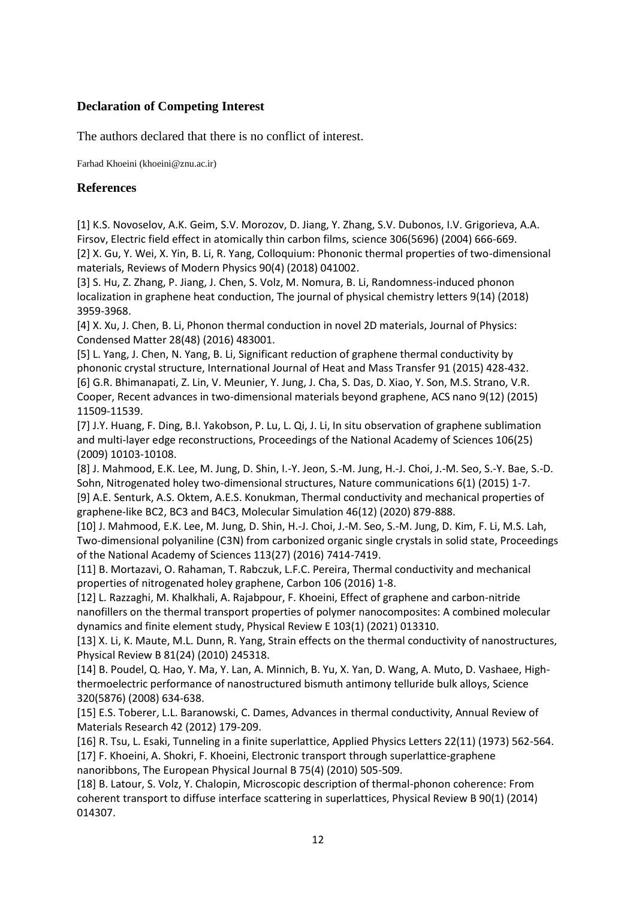# **Declaration of Competing Interest**

The authors declared that there is no conflict of interest.

Farhad Khoeini (khoeini@znu.ac.ir)

## **References**

[1] K.S. Novoselov, A.K. Geim, S.V. Morozov, D. Jiang, Y. Zhang, S.V. Dubonos, I.V. Grigorieva, A.A. Firsov, Electric field effect in atomically thin carbon films, science 306(5696) (2004) 666-669. [2] X. Gu, Y. Wei, X. Yin, B. Li, R. Yang, Colloquium: Phononic thermal properties of two-dimensional materials, Reviews of Modern Physics 90(4) (2018) 041002.

[3] S. Hu, Z. Zhang, P. Jiang, J. Chen, S. Volz, M. Nomura, B. Li, Randomness-induced phonon localization in graphene heat conduction, The journal of physical chemistry letters 9(14) (2018) 3959-3968.

[4] X. Xu, J. Chen, B. Li, Phonon thermal conduction in novel 2D materials, Journal of Physics: Condensed Matter 28(48) (2016) 483001.

[5] L. Yang, J. Chen, N. Yang, B. Li, Significant reduction of graphene thermal conductivity by phononic crystal structure, International Journal of Heat and Mass Transfer 91 (2015) 428-432. [6] G.R. Bhimanapati, Z. Lin, V. Meunier, Y. Jung, J. Cha, S. Das, D. Xiao, Y. Son, M.S. Strano, V.R. Cooper, Recent advances in two-dimensional materials beyond graphene, ACS nano 9(12) (2015) 11509-11539.

[7] J.Y. Huang, F. Ding, B.I. Yakobson, P. Lu, L. Qi, J. Li, In situ observation of graphene sublimation and multi-layer edge reconstructions, Proceedings of the National Academy of Sciences 106(25) (2009) 10103-10108.

[8] J. Mahmood, E.K. Lee, M. Jung, D. Shin, I.-Y. Jeon, S.-M. Jung, H.-J. Choi, J.-M. Seo, S.-Y. Bae, S.-D. Sohn, Nitrogenated holey two-dimensional structures, Nature communications 6(1) (2015) 1-7. [9] A.E. Senturk, A.S. Oktem, A.E.S. Konukman, Thermal conductivity and mechanical properties of graphene-like BC2, BC3 and B4C3, Molecular Simulation 46(12) (2020) 879-888.

[10] J. Mahmood, E.K. Lee, M. Jung, D. Shin, H.-J. Choi, J.-M. Seo, S.-M. Jung, D. Kim, F. Li, M.S. Lah, Two-dimensional polyaniline (C3N) from carbonized organic single crystals in solid state, Proceedings of the National Academy of Sciences 113(27) (2016) 7414-7419.

[11] B. Mortazavi, O. Rahaman, T. Rabczuk, L.F.C. Pereira, Thermal conductivity and mechanical properties of nitrogenated holey graphene, Carbon 106 (2016) 1-8.

[12] L. Razzaghi, M. Khalkhali, A. Rajabpour, F. Khoeini, Effect of graphene and carbon-nitride nanofillers on the thermal transport properties of polymer nanocomposites: A combined molecular dynamics and finite element study, Physical Review E 103(1) (2021) 013310.

[13] X. Li, K. Maute, M.L. Dunn, R. Yang, Strain effects on the thermal conductivity of nanostructures, Physical Review B 81(24) (2010) 245318.

[14] B. Poudel, Q. Hao, Y. Ma, Y. Lan, A. Minnich, B. Yu, X. Yan, D. Wang, A. Muto, D. Vashaee, Highthermoelectric performance of nanostructured bismuth antimony telluride bulk alloys, Science 320(5876) (2008) 634-638.

[15] E.S. Toberer, L.L. Baranowski, C. Dames, Advances in thermal conductivity, Annual Review of Materials Research 42 (2012) 179-209.

[16] R. Tsu, L. Esaki, Tunneling in a finite superlattice, Applied Physics Letters 22(11) (1973) 562-564. [17] F. Khoeini, A. Shokri, F. Khoeini, Electronic transport through superlattice-graphene nanoribbons, The European Physical Journal B 75(4) (2010) 505-509.

[18] B. Latour, S. Volz, Y. Chalopin, Microscopic description of thermal-phonon coherence: From coherent transport to diffuse interface scattering in superlattices, Physical Review B 90(1) (2014) 014307.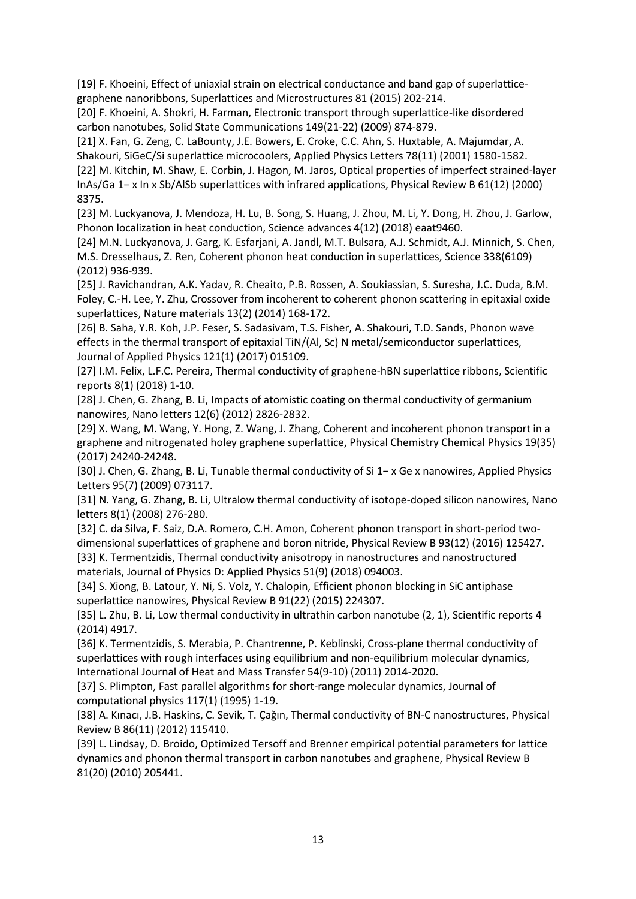[19] F. Khoeini, Effect of uniaxial strain on electrical conductance and band gap of superlatticegraphene nanoribbons, Superlattices and Microstructures 81 (2015) 202-214.

[20] F. Khoeini, A. Shokri, H. Farman, Electronic transport through superlattice-like disordered carbon nanotubes, Solid State Communications 149(21-22) (2009) 874-879.

[21] X. Fan, G. Zeng, C. LaBounty, J.E. Bowers, E. Croke, C.C. Ahn, S. Huxtable, A. Majumdar, A. Shakouri, SiGeC/Si superlattice microcoolers, Applied Physics Letters 78(11) (2001) 1580-1582.

[22] M. Kitchin, M. Shaw, E. Corbin, J. Hagon, M. Jaros, Optical properties of imperfect strained-layer InAs/Ga 1− x In x Sb/AlSb superlattices with infrared applications, Physical Review B 61(12) (2000) 8375.

[23] M. Luckyanova, J. Mendoza, H. Lu, B. Song, S. Huang, J. Zhou, M. Li, Y. Dong, H. Zhou, J. Garlow, Phonon localization in heat conduction, Science advances 4(12) (2018) eaat9460.

[24] M.N. Luckyanova, J. Garg, K. Esfarjani, A. Jandl, M.T. Bulsara, A.J. Schmidt, A.J. Minnich, S. Chen, M.S. Dresselhaus, Z. Ren, Coherent phonon heat conduction in superlattices, Science 338(6109) (2012) 936-939.

[25] J. Ravichandran, A.K. Yadav, R. Cheaito, P.B. Rossen, A. Soukiassian, S. Suresha, J.C. Duda, B.M. Foley, C.-H. Lee, Y. Zhu, Crossover from incoherent to coherent phonon scattering in epitaxial oxide superlattices, Nature materials 13(2) (2014) 168-172.

[26] B. Saha, Y.R. Koh, J.P. Feser, S. Sadasivam, T.S. Fisher, A. Shakouri, T.D. Sands, Phonon wave effects in the thermal transport of epitaxial TiN/(Al, Sc) N metal/semiconductor superlattices, Journal of Applied Physics 121(1) (2017) 015109.

[27] I.M. Felix, L.F.C. Pereira, Thermal conductivity of graphene-hBN superlattice ribbons, Scientific reports 8(1) (2018) 1-10.

[28] J. Chen, G. Zhang, B. Li, Impacts of atomistic coating on thermal conductivity of germanium nanowires, Nano letters 12(6) (2012) 2826-2832.

[29] X. Wang, M. Wang, Y. Hong, Z. Wang, J. Zhang, Coherent and incoherent phonon transport in a graphene and nitrogenated holey graphene superlattice, Physical Chemistry Chemical Physics 19(35) (2017) 24240-24248.

[30] J. Chen, G. Zhang, B. Li, Tunable thermal conductivity of Si 1− x Ge x nanowires, Applied Physics Letters 95(7) (2009) 073117.

[31] N. Yang, G. Zhang, B. Li, Ultralow thermal conductivity of isotope-doped silicon nanowires, Nano letters 8(1) (2008) 276-280.

[32] C. da Silva, F. Saiz, D.A. Romero, C.H. Amon, Coherent phonon transport in short-period twodimensional superlattices of graphene and boron nitride, Physical Review B 93(12) (2016) 125427. [33] K. Termentzidis, Thermal conductivity anisotropy in nanostructures and nanostructured materials, Journal of Physics D: Applied Physics 51(9) (2018) 094003.

[34] S. Xiong, B. Latour, Y. Ni, S. Volz, Y. Chalopin, Efficient phonon blocking in SiC antiphase superlattice nanowires, Physical Review B 91(22) (2015) 224307.

[35] L. Zhu, B. Li, Low thermal conductivity in ultrathin carbon nanotube (2, 1), Scientific reports 4 (2014) 4917.

[36] K. Termentzidis, S. Merabia, P. Chantrenne, P. Keblinski, Cross-plane thermal conductivity of superlattices with rough interfaces using equilibrium and non-equilibrium molecular dynamics, International Journal of Heat and Mass Transfer 54(9-10) (2011) 2014-2020.

[37] S. Plimpton, Fast parallel algorithms for short-range molecular dynamics, Journal of computational physics 117(1) (1995) 1-19.

[38] A. Kınacı, J.B. Haskins, C. Sevik, T. Çağın, Thermal conductivity of BN-C nanostructures, Physical Review B 86(11) (2012) 115410.

[39] L. Lindsay, D. Broido, Optimized Tersoff and Brenner empirical potential parameters for lattice dynamics and phonon thermal transport in carbon nanotubes and graphene, Physical Review B 81(20) (2010) 205441.